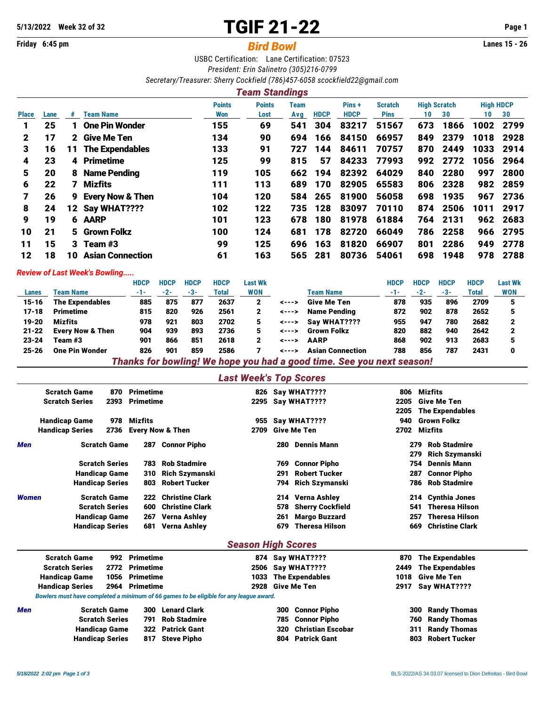# **5/13/2022 Week 32 of 32** TGIF 21-22 **Page 1**

# **Friday 6:45 pm** *Bird Bowl* **Lanes 15 - 26**

USBC Certification: Lane Certification: 07523 *President: Erin Salinetro (305)216-0799 Secretary/Treasurer: Sherry Cockfield (786)457-6058 [scockfield22@gmail.com](mailto:scockfield22@gmail.com)*

## *Team Standings*

|              |      |              |                             | <b>Points</b> | <b>Points</b> | Team |             | Pins+       | <b>Scratch</b> | <b>High Scratch</b> |          | <b>High HDCP</b> |          |
|--------------|------|--------------|-----------------------------|---------------|---------------|------|-------------|-------------|----------------|---------------------|----------|------------------|----------|
| <b>Place</b> | Lane | #            | <b>Team Name</b>            | Won           | Lost          | Avg  | <b>HDCP</b> | <b>HDCP</b> | <b>Pins</b>    | 10                  | 30       | 10               | 30       |
|              | 25   |              | <b>One Pin Wonder</b>       | 155           | 69            | 541  | 304         | 83217       | 51567          | 673                 | 1866     | 1002             | 2799     |
| $\mathbf 2$  | 17   | $\mathbf{2}$ | Give Me Ten                 | 134           | 90            | 694  | 166         | 84150       | 66957          | 849                 | 2379     | 1018             | 2928     |
| 3            | 16   | 11           | <b>The Expendables</b>      | 133           | 91            | 727  | 144         | 84611       | 70757          | 870                 | 2449     | 1033             | -2914    |
| 4            | 23   | 4            | <b>Primetime</b>            | 125           | 99            | 815  | 57          | 84233       | 77993          | 992                 | 2772     | 1056             | 2964     |
| 5            | 20   | 8            | <b>Name Pending</b>         | 119           | 105           | 662  | 194         | 82392       | 64029          | 840                 | 2280     | 997              | 2800     |
| 6            | 22   | 7            | <b>Mizfits</b>              | 111           | 113           | 689  | 170         | 82905       | 65583          | 806                 | 2328     | 982              | 2859     |
|              | 26   | 9            | <b>Every Now &amp; Then</b> | 104           | 120           | 584  | 265         | 81900       | 56058          | 698                 | 1935     | 967              | 2736     |
| 8            | 24   | 12           | Say WHAT????                | 102           | 122           | 735  | 128         | 83097       | 70110          | 874                 | 2506     | 1011             | 2917     |
| 9            | 19   |              | 6 AARP                      | 101           | 123           | 678  | 180         | 81978       | 61884          |                     | 764 2131 |                  | 962 2683 |
| 10           | 21   |              | 5 Grown Folkz               | 100           | 124           | 681  | 178         | 82720       | 66049          | 786                 | 2258     | 966              | 2795     |
| 11           | 15   |              | 3 Team $#3$                 | 99            | 125           | 696  | 163         | 81820       | 66907          | 801                 | 2286     | 949              | 2778     |
| 12           | 18   | 10           | <b>Asian Connection</b>     | 61            | 163           | 565  | 281         | 80736       | 54061          | 698                 | 1948     | 978              | 2788     |

#### *Review of Last Week's Bowling.....*

|           |                             | <b>HDCP</b> | <b>HDCP</b> | <b>HDCP</b> | <b>HDCP</b> | Last Wk    |       |                         | HDCP | HDCP  | HDCP | <b>HDCP</b> | <b>Last Wk</b> |
|-----------|-----------------------------|-------------|-------------|-------------|-------------|------------|-------|-------------------------|------|-------|------|-------------|----------------|
| Lanes     | <b>Team Name</b>            | -1-         | $-2-$       | -3-         | Total       | <b>WON</b> |       | Team Name               | -1-  | $-2-$ | -3-  | Total       | <b>WON</b>     |
| 15-16     | <b>The Expendables</b>      | 885         | 875         | 877         | 2637        | 2          | <---> | <b>Give Me Ten</b>      | 878  | 935   | 896  | 2709        |                |
| $17 - 18$ | <b>Primetime</b>            | 815         | 820         | 926         | 2561        | 2          | <---> | Name Pending            | 872  | 902   | 878  | 2652        |                |
| $19 - 20$ | Mizfits                     | 978         | 921         | 803         | 2702        | 5          | <---> | Sav WHAT????            | 955  | 947   | 780  | 2682        |                |
| $21 - 22$ | <b>Every Now &amp; Then</b> | 904         | 939         | 893         | 2736        |            | <---> | <b>Grown Folkz</b>      | 820  | 882   | 940  | 2642        |                |
| $23 - 24$ | Team #3                     | 901         | 866         | 851         | 2618        | 2          | <---> | <b>AARP</b>             | 868  | 902   | 913  | 2683        |                |
| $25 - 26$ | <b>One Pin Wonder</b>       | 826         | 901         | 859         | 2586        |            | ----  | <b>Asian Connection</b> | 788  | 856   | 787  | 2431        | 0              |

*Thanks for bowling! We hope you had a good time. See you next season!*

## *Last Week's Top Scores*

|       | <b>Scratch Game</b><br><b>Scratch Series</b> | 870<br>2393 | <b>Primetime</b><br><b>Primetime</b> |                        | 826<br>2295               |     | Say WHAT????<br>Say WHAT???? | 806<br>2205<br>2205 | Mizfits<br><b>Give Me Ten</b><br><b>The Expendables</b>    |
|-------|----------------------------------------------|-------------|--------------------------------------|------------------------|---------------------------|-----|------------------------------|---------------------|------------------------------------------------------------|
|       | <b>Handicap Game</b>                         | 978         | Mizfits                              |                        | 955                       |     | Say WHAT????                 | 940                 | <b>Grown Folkz</b>                                         |
|       | <b>Handicap Series</b>                       | 2736        | <b>Every Now &amp; Then</b>          |                        | 2709                      |     | <b>Give Me Ten</b>           | 2702                | <b>Mizfits</b>                                             |
| Men   | <b>Scratch Game</b>                          |             | 287                                  | <b>Connor Pipho</b>    |                           | 280 | <b>Dennis Mann</b>           |                     | <b>Rob Stadmire</b><br>279<br><b>Rich Szymanski</b><br>279 |
|       | <b>Scratch Series</b>                        |             | 783                                  | <b>Rob Stadmire</b>    |                           | 769 | <b>Connor Pipho</b>          |                     | 754<br><b>Dennis Mann</b>                                  |
|       | <b>Handicap Game</b>                         |             | 310                                  | <b>Rich Szymanski</b>  |                           | 291 | <b>Robert Tucker</b>         |                     | <b>Connor Pipho</b><br>287                                 |
|       | <b>Handicap Series</b>                       |             | 803                                  | <b>Robert Tucker</b>   |                           | 794 | <b>Rich Szymanski</b>        |                     | <b>Rob Stadmire</b><br>786                                 |
| Women | <b>Scratch Game</b>                          |             | 222                                  | <b>Christine Clark</b> |                           | 214 | Verna Ashley                 |                     | 214 Cynthia Jones                                          |
|       | <b>Scratch Series</b>                        |             | 600                                  | <b>Christine Clark</b> |                           | 578 | <b>Sherry Cockfield</b>      |                     | <b>Theresa Hilson</b><br>541                               |
|       | <b>Handicap Game</b>                         |             | 267                                  | <b>Verna Ashley</b>    |                           | 261 | <b>Margo Buzzard</b>         |                     | <b>Theresa Hilson</b><br>257                               |
|       | <b>Handicap Series</b>                       |             | 681                                  | <b>Verna Ashley</b>    |                           | 679 | <b>Theresa Hilson</b>        |                     | <b>Christine Clark</b><br>669                              |
|       |                                              |             |                                      |                        | <b>Season High Scores</b> |     |                              |                     |                                                            |
|       | <b>Scratch Game</b>                          | 992         | <b>Primetime</b>                     |                        |                           |     | 874 Say WHAT????             | 870                 | <b>The Expendables</b>                                     |
|       | <b>Scratch Series</b>                        | 2772        | <b>Primetime</b>                     |                        | 2506                      |     | Say WHAT????                 | 2449                | <b>The Expendables</b>                                     |
|       | <b>Handicap Game</b>                         | 1056        | <b>Primetime</b>                     |                        | 1033                      |     | <b>The Expendables</b>       | 1018                | <b>Give Me Ten</b>                                         |
|       | <b>Handicap Series</b>                       | 2964        | <b>Primetime</b>                     |                        | 2928                      |     | <b>Give Me Ten</b>           | 2917                | Say WHAT????                                               |

*Bowlers must have completed a minimum of 66 games to be eligible for any league award.*

| <b>Men</b> | <b>Scratch Game</b>    | 300 Lenard Clark | 300 Connor Pipho      | 300 Randy Thomas        |
|------------|------------------------|------------------|-----------------------|-------------------------|
|            | <b>Scratch Series</b>  | 791 Rob Stadmire | 785 Connor Pipho      | <b>760 Randy Thomas</b> |
|            | <b>Handicap Game</b>   | 322 Patrick Gant | 320 Christian Escobar | 311 Randy Thomas        |
|            | <b>Handicap Series</b> | 817 Steve Pipho  | 804 Patrick Gant      | 803 Robert Tucker       |
|            |                        |                  |                       |                         |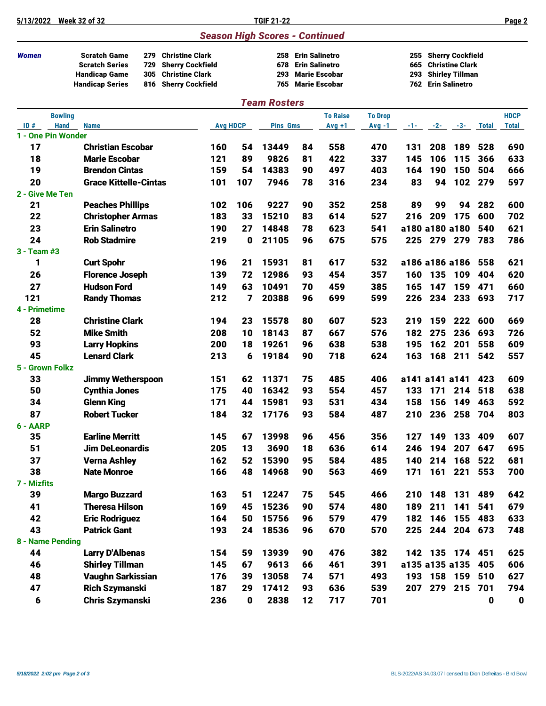| 5/13/2022          | <b>Week 32 of 32</b>                                                                                                                                              |     |                 | <b>TGIF 21-22</b>                     |                                                                     |                      |                |                   |                                                                      |               |              | Page 2      |
|--------------------|-------------------------------------------------------------------------------------------------------------------------------------------------------------------|-----|-----------------|---------------------------------------|---------------------------------------------------------------------|----------------------|----------------|-------------------|----------------------------------------------------------------------|---------------|--------------|-------------|
|                    |                                                                                                                                                                   |     |                 | <b>Season High Scores - Continued</b> |                                                                     |                      |                |                   |                                                                      |               |              |             |
| <b>Women</b>       | <b>Scratch Game</b><br>Christine Clark<br>279<br><b>Scratch Series</b><br><b>Sherry Cockfield</b><br>729<br>305<br><b>Christine Clark</b><br><b>Handicap Game</b> |     |                 | 678<br>293                            | 258 Erin Salinetro<br><b>Erin Salinetro</b><br><b>Marie Escobar</b> |                      |                | 255<br>665<br>293 | Sherry Cockfield<br><b>Christine Clark</b><br><b>Shirley Tillman</b> |               |              |             |
|                    | <b>Handicap Series</b><br><b>Sherry Cockfield</b><br>816                                                                                                          |     |                 | 765                                   |                                                                     | <b>Marie Escobar</b> |                | 762               | <b>Erin Salinetro</b>                                                |               |              |             |
|                    |                                                                                                                                                                   |     |                 | <b>Team Rosters</b>                   |                                                                     |                      |                |                   |                                                                      |               |              |             |
|                    | <b>Bowling</b>                                                                                                                                                    |     |                 |                                       |                                                                     | <b>To Raise</b>      | <b>To Drop</b> |                   |                                                                      |               |              | <b>HDCP</b> |
| ID#                | <b>Hand</b><br><b>Name</b>                                                                                                                                        |     | <b>Avg HDCP</b> | <b>Pins Gms</b>                       |                                                                     | $Avg +1$             | Avg -1         | $-1-$             |                                                                      | $-2$ - $-3$ - | <b>Total</b> | Total       |
| 1 - One Pin Wonder |                                                                                                                                                                   |     |                 |                                       |                                                                     |                      |                |                   |                                                                      |               |              |             |
| 17                 | <b>Christian Escobar</b>                                                                                                                                          | 160 | 54              | 13449                                 | 84                                                                  | 558                  | 470            | 131               | 208                                                                  | 189           | 528          | 690         |
| 18                 | <b>Marie Escobar</b>                                                                                                                                              | 121 | 89              | 9826                                  | 81                                                                  | 422                  | 337            | 145               | 106                                                                  | 115           | 366          | 633         |
| 19                 | <b>Brendon Cintas</b>                                                                                                                                             | 159 | 54              | 14383                                 | 90                                                                  | 497                  | 403            | 164               | 190                                                                  | 150           | 504          | 666         |
| 20                 | <b>Grace Kittelle-Cintas</b>                                                                                                                                      | 101 | 107             | 7946                                  | 78                                                                  | 316                  | 234            | 83                | 94                                                                   |               | 102 279      | 597         |
| 2 - Give Me Ten    |                                                                                                                                                                   |     |                 |                                       |                                                                     |                      |                |                   |                                                                      |               |              |             |
| 21                 | <b>Peaches Phillips</b>                                                                                                                                           | 102 | 106             | 9227                                  | 90                                                                  | 352                  | 258            | 89                | 99                                                                   | 94            | 282          | 600         |
| 22                 | <b>Christopher Armas</b>                                                                                                                                          | 183 | 33              | 15210                                 | 83                                                                  | 614                  | 527            | 216               | 209                                                                  | 175           | 600          | 702         |
| 23                 | <b>Erin Salinetro</b>                                                                                                                                             | 190 | 27              | 14848                                 | 78                                                                  | 623                  | 541            |                   | a180 a180 a180                                                       |               | 540          | 621         |
| 24<br>3 - Team #3  | <b>Rob Stadmire</b>                                                                                                                                               | 219 | 0               | 21105                                 | 96                                                                  | 675                  | 575            | 225               | 279                                                                  | 279           | 783          | 786         |
| 1                  | <b>Curt Spohr</b>                                                                                                                                                 | 196 | 21              | 15931                                 | 81                                                                  | 617                  | 532            |                   | a186 a186 a186                                                       |               | 558          | 621         |
| 26                 | <b>Florence Joseph</b>                                                                                                                                            | 139 | 72              | 12986                                 | 93                                                                  | 454                  | 357            | 160               | 135                                                                  | 109           | 404          | 620         |
| 27                 | <b>Hudson Ford</b>                                                                                                                                                | 149 | 63              | 10491                                 | 70                                                                  | 459                  | 385            | 165               | 147                                                                  | 159           | 471          | 660         |
| 121                | <b>Randy Thomas</b>                                                                                                                                               | 212 | 7               | 20388                                 | 96                                                                  | 699                  | 599            | 226               | 234                                                                  | 233           | 693          | 717         |
| 4 - Primetime      |                                                                                                                                                                   |     |                 |                                       |                                                                     |                      |                |                   |                                                                      |               |              |             |
| 28                 | <b>Christine Clark</b>                                                                                                                                            | 194 | 23              | 15578                                 | 80                                                                  | 607                  | 523            | 219               | 159                                                                  | 222           | 600          | 669         |
| 52                 | <b>Mike Smith</b>                                                                                                                                                 | 208 | 10              | 18143                                 | 87                                                                  | 667                  | 576            | 182               | 275                                                                  | 236           | 693          | 726         |
| 93                 | <b>Larry Hopkins</b>                                                                                                                                              | 200 | 18              | 19261                                 | 96                                                                  | 638                  | 538            | 195               | 162                                                                  | 201           | 558          | 609         |
| 45                 | <b>Lenard Clark</b>                                                                                                                                               | 213 | 6               | 19184                                 | 90                                                                  | 718                  | 624            | 163               | 168                                                                  | 211           | 542          | 557         |
| 5 - Grown Folkz    |                                                                                                                                                                   |     |                 |                                       |                                                                     |                      |                |                   |                                                                      |               |              |             |
| 33                 | <b>Jimmy Wetherspoon</b>                                                                                                                                          | 151 | 62              | 11371                                 | 75                                                                  | 485                  | 406            |                   | a141 a141 a141                                                       |               | 423          | 609         |
| 50                 | <b>Cynthia Jones</b>                                                                                                                                              | 175 | 40              | 16342                                 | 93                                                                  | 554                  | 457            | 133               | 171                                                                  | 214           | 518          | 638         |
| 34                 | <b>Glenn King</b>                                                                                                                                                 | 171 | 44              | 15981                                 | 93                                                                  | 531                  | 434            | 158               | 156                                                                  | 149           | 463          | 592         |
| 87                 | <b>Robert Tucker</b>                                                                                                                                              | 184 | 32              | 17176                                 | 93                                                                  | 584                  | 487            | 210               |                                                                      | 236 258       | 704          | 803         |
| 6 - AARP           |                                                                                                                                                                   |     |                 |                                       |                                                                     |                      |                |                   |                                                                      |               |              |             |
| 35                 | <b>Earline Merritt</b>                                                                                                                                            | 145 | 67              | 13998                                 | 96                                                                  | 456                  | 356            | 127               | 149                                                                  | 133           | 409          | 607         |
| 51                 | <b>Jim DeLeonardis</b>                                                                                                                                            | 205 | 13              | 3690                                  | 18                                                                  | 636                  | 614            | 246               | 194                                                                  | 207           | 647          | 695         |
| 37                 | <b>Verna Ashley</b>                                                                                                                                               | 162 | 52              | 15390                                 | 95                                                                  | 584                  | 485            | 140               | 214                                                                  | 168           | 522          | 681         |
| 38                 | <b>Nate Monroe</b>                                                                                                                                                | 166 | 48              | 14968                                 | 90                                                                  | 563                  | 469            | 171               | 161                                                                  |               | 221 553      | 700         |
| 7 - Mizfits<br>39  | <b>Margo Buzzard</b>                                                                                                                                              | 163 | 51              | 12247                                 | 75                                                                  | 545                  | 466            |                   | 210 148                                                              | 131           | 489          | 642         |
| 41                 | <b>Theresa Hilson</b>                                                                                                                                             | 169 | 45              | 15236                                 | 90                                                                  | 574                  | 480            | 189               | 211                                                                  | 141           | 541          | 679         |
| 42                 | <b>Eric Rodriguez</b>                                                                                                                                             | 164 | 50              | 15756                                 | 96                                                                  | 579                  | 479            | 182               | 146                                                                  | 155           | 483          | 633         |
| 43                 | <b>Patrick Gant</b>                                                                                                                                               | 193 | 24              | 18536                                 | 96                                                                  | 670                  | 570            | 225               |                                                                      | 244 204 673   |              | 748         |
| 8 - Name Pending   |                                                                                                                                                                   |     |                 |                                       |                                                                     |                      |                |                   |                                                                      |               |              |             |
| 44                 | <b>Larry D'Albenas</b>                                                                                                                                            | 154 | 59              | 13939                                 | 90                                                                  | 476                  | 382            |                   | 142 135 174 451                                                      |               |              | 625         |
| 46                 | <b>Shirley Tillman</b>                                                                                                                                            | 145 | 67              | 9613                                  | 66                                                                  | 461                  | 391            |                   | a135 a135 a135                                                       |               | 405          | 606         |
| 48                 | <b>Vaughn Sarkissian</b>                                                                                                                                          | 176 | 39              | 13058                                 | 74                                                                  | 571                  | 493            |                   | 193 158 159                                                          |               | 510          | 627         |
| 47                 | <b>Rich Szymanski</b>                                                                                                                                             | 187 | 29              | 17412                                 | 93                                                                  | 636                  | 539            |                   | 207 279 215                                                          |               | 701          | 794         |
| 6                  | <b>Chris Szymanski</b>                                                                                                                                            | 236 | 0               | 2838                                  | 12                                                                  | 717                  | 701            |                   |                                                                      |               | $\mathbf 0$  | $\mathbf 0$ |
|                    |                                                                                                                                                                   |     |                 |                                       |                                                                     |                      |                |                   |                                                                      |               |              |             |